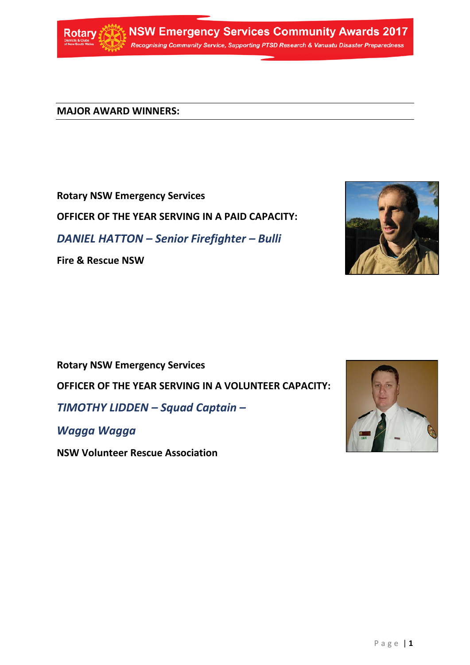

**NSW Emergency Services Community Awards 2017** Recognising Community Service, Supporting PTSD Research & Vanuatu Disaster Preparedness

**MAJOR AWARD WINNERS:**

# **Rotary NSW Emergency Services**

**OFFICER OF THE YEAR SERVING IN A PAID CAPACITY:**

*DANIEL HATTON – Senior Firefighter – Bulli*

**Fire & Rescue NSW**



**Rotary NSW Emergency Services** 

**OFFICER OF THE YEAR SERVING IN A VOLUNTEER CAPACITY:**

*TIMOTHY LIDDEN – Squad Captain –* 

*Wagga Wagga*

**NSW Volunteer Rescue Association**

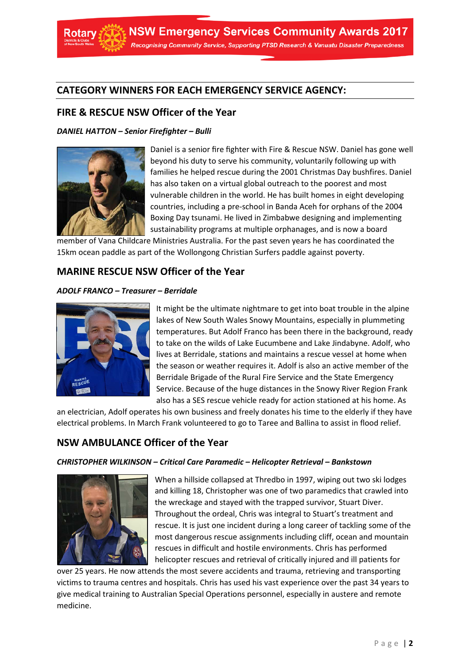

## **CATEGORY WINNERS FOR EACH EMERGENCY SERVICE AGENCY:**

### **FIRE & RESCUE NSW Officer of the Year**

#### *DANIEL HATTON – Senior Firefighter – Bulli*



Daniel is a senior fire fighter with Fire & Rescue NSW. Daniel has gone well beyond his duty to serve his community, voluntarily following up with families he helped rescue during the 2001 Christmas Day bushfires. Daniel has also taken on a virtual global outreach to the poorest and most vulnerable children in the world. He has built homes in eight developing countries, including a pre-school in Banda Aceh for orphans of the 2004 Boxing Day tsunami. He lived in Zimbabwe designing and implementing sustainability programs at multiple orphanages, and is now a board

member of Vana Childcare Ministries Australia. For the past seven years he has coordinated the 15km ocean paddle as part of the Wollongong Christian Surfers paddle against poverty.

### **MARINE RESCUE NSW Officer of the Year**

#### *ADOLF FRANCO – Treasurer – Berridale*



It might be the ultimate nightmare to get into boat trouble in the alpine lakes of New South Wales Snowy Mountains, especially in plummeting temperatures. But Adolf Franco has been there in the background, ready to take on the wilds of Lake Eucumbene and Lake Jindabyne. Adolf, who lives at Berridale, stations and maintains a rescue vessel at home when the season or weather requires it. Adolf is also an active member of the Berridale Brigade of the Rural Fire Service and the State Emergency Service. Because of the huge distances in the Snowy River Region Frank also has a SES rescue vehicle ready for action stationed at his home. As

an electrician, Adolf operates his own business and freely donates his time to the elderly if they have electrical problems. In March Frank volunteered to go to Taree and Ballina to assist in flood relief.

### **NSW AMBULANCE Officer of the Year**

#### *CHRISTOPHER WILKINSON – Critical Care Paramedic – Helicopter Retrieval – Bankstown*



When a hillside collapsed at Thredbo in 1997, wiping out two ski lodges and killing 18, Christopher was one of two paramedics that crawled into the wreckage and stayed with the trapped survivor, Stuart Diver. Throughout the ordeal, Chris was integral to Stuart's treatment and rescue. It is just one incident during a long career of tackling some of the most dangerous rescue assignments including cliff, ocean and mountain rescues in difficult and hostile environments. Chris has performed helicopter rescues and retrieval of critically injured and ill patients for

over 25 years. He now attends the most severe accidents and trauma, retrieving and transporting victims to trauma centres and hospitals. Chris has used his vast experience over the past 34 years to give medical training to Australian Special Operations personnel, especially in austere and remote medicine.